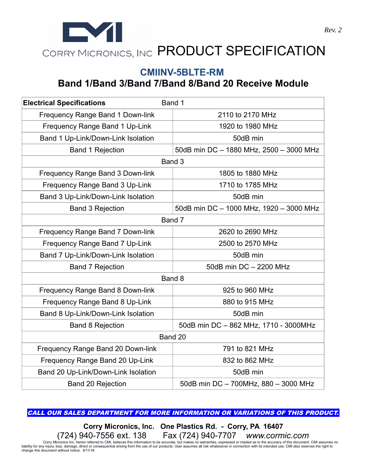

## **CMIINV-5BLTE-RM Band 1/Band 3/Band 7/Band 8/Band 20 Receive Module**

| <b>Electrical Specifications</b>    | Band 1                                  |  |  |  |
|-------------------------------------|-----------------------------------------|--|--|--|
| Frequency Range Band 1 Down-link    | 2110 to 2170 MHz                        |  |  |  |
| Frequency Range Band 1 Up-Link      | 1920 to 1980 MHz                        |  |  |  |
| Band 1 Up-Link/Down-Link Isolation  | 50dB min                                |  |  |  |
| <b>Band 1 Rejection</b>             | 50dB min DC - 1880 MHz, 2500 - 3000 MHz |  |  |  |
| Band 3                              |                                         |  |  |  |
| Frequency Range Band 3 Down-link    | 1805 to 1880 MHz                        |  |  |  |
| Frequency Range Band 3 Up-Link      | 1710 to 1785 MHz                        |  |  |  |
| Band 3 Up-Link/Down-Link Isolation  | 50dB min                                |  |  |  |
| <b>Band 3 Rejection</b>             | 50dB min DC - 1000 MHz, 1920 - 3000 MHz |  |  |  |
| Band 7                              |                                         |  |  |  |
| Frequency Range Band 7 Down-link    | 2620 to 2690 MHz                        |  |  |  |
| Frequency Range Band 7 Up-Link      | 2500 to 2570 MHz                        |  |  |  |
| Band 7 Up-Link/Down-Link Isolation  | 50dB min                                |  |  |  |
| <b>Band 7 Rejection</b>             | 50dB min DC - 2200 MHz                  |  |  |  |
|                                     | Band 8                                  |  |  |  |
| Frequency Range Band 8 Down-link    | 925 to 960 MHz                          |  |  |  |
| Frequency Range Band 8 Up-Link      | 880 to 915 MHz                          |  |  |  |
| Band 8 Up-Link/Down-Link Isolation  | 50dB min                                |  |  |  |
| <b>Band 8 Rejection</b>             | 50dB min DC - 862 MHz, 1710 - 3000MHz   |  |  |  |
| Band 20                             |                                         |  |  |  |
| Frequency Range Band 20 Down-link   | 791 to 821 MHz                          |  |  |  |
| Frequency Range Band 20 Up-Link     | 832 to 862 MHz                          |  |  |  |
| Band 20 Up-Link/Down-Link Isolation | 50dB min                                |  |  |  |
| <b>Band 20 Rejection</b>            | 50dB min DC - 700MHz, 880 - 3000 MHz    |  |  |  |

CALL OUR SALES DEPARTMENT FOR MORE INFORMATION OR VARIATIONS OF THIS PRODUCT.

**Corry Micronics, Inc. One Plastics Rd. - Corry, PA 16407**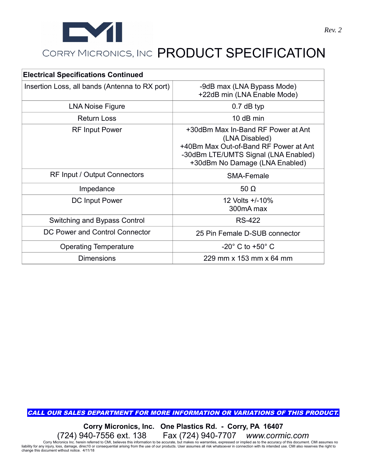

| <b>Electrical Specifications Continued</b>     |                                                                                                                                                                         |  |  |  |
|------------------------------------------------|-------------------------------------------------------------------------------------------------------------------------------------------------------------------------|--|--|--|
| Insertion Loss, all bands (Antenna to RX port) | -9dB max (LNA Bypass Mode)<br>+22dB min (LNA Enable Mode)                                                                                                               |  |  |  |
| <b>LNA Noise Figure</b>                        | $0.7$ dB typ                                                                                                                                                            |  |  |  |
| <b>Return Loss</b>                             | 10 dB min                                                                                                                                                               |  |  |  |
| <b>RF</b> Input Power                          | +30dBm Max In-Band RF Power at Ant<br>(LNA Disabled)<br>+40Bm Max Out-of-Band RF Power at Ant<br>-30dBm LTE/UMTS Signal (LNA Enabled)<br>+30dBm No Damage (LNA Enabled) |  |  |  |
| <b>RF Input / Output Connectors</b>            | SMA-Female                                                                                                                                                              |  |  |  |
| Impedance                                      | 50 $\Omega$                                                                                                                                                             |  |  |  |
| DC Input Power                                 | 12 Volts +/-10%<br>300mA max                                                                                                                                            |  |  |  |
| Switching and Bypass Control                   | <b>RS-422</b>                                                                                                                                                           |  |  |  |
| DC Power and Control Connector                 | 25 Pin Female D-SUB connector                                                                                                                                           |  |  |  |
| <b>Operating Temperature</b>                   | $-20^{\circ}$ C to $+50^{\circ}$ C                                                                                                                                      |  |  |  |

#### Dimensions 229 mm x 153 mm x 64 mm

CALL OUR SALES DEPARTMENT FOR MORE INFORMATION OR VARIATIONS OF THIS PRODUCT.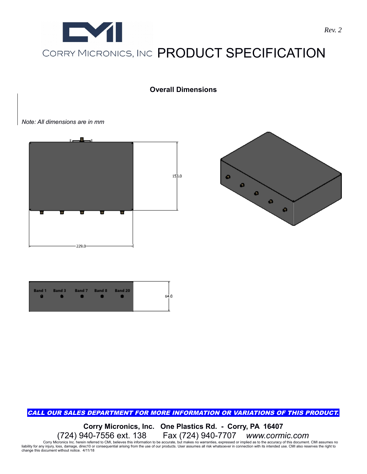

#### **Overall Dimensions**

*Note: All dimensions are in mm*







#### CALL OUR SALES DEPARTMENT FOR MORE INFORMATION OR VARIATIONS OF THIS PRODUCT.

**Corry Micronics, Inc. One Plastics Rd. - Corry, PA 16407** (724) 940-7556 ext. 138 Fax (724) 940-7707 *www.cormic.com* Corry Micronics Inc. herein referred to CMI, believes this information to be accurate, but makes no warranties, expressed or implied as to the accuracy of this document. CMI assumes no<br>liability for any injury, loss, damag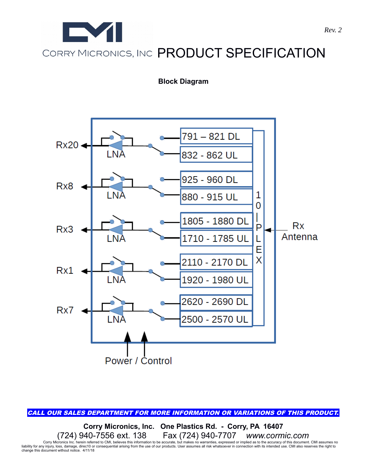

**Block Diagram**



CALL OUR SALES DEPARTMENT FOR MORE INFORMATION OR VARIATIONS OF THIS PRODUCT.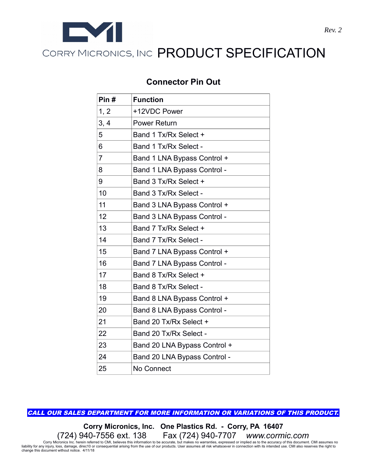

#### **Connector Pin Out**

| Pin#           | <b>Function</b>              |
|----------------|------------------------------|
| 1, 2           | +12VDC Power                 |
| 3, 4           | <b>Power Return</b>          |
| 5              | Band 1 Tx/Rx Select +        |
| 6              | Band 1 Tx/Rx Select -        |
| $\overline{7}$ | Band 1 LNA Bypass Control +  |
| 8              | Band 1 LNA Bypass Control -  |
| 9              | Band 3 Tx/Rx Select +        |
| 10             | Band 3 Tx/Rx Select -        |
| 11             | Band 3 LNA Bypass Control +  |
| 12             | Band 3 LNA Bypass Control -  |
| 13             | Band 7 Tx/Rx Select +        |
| 14             | Band 7 Tx/Rx Select -        |
| 15             | Band 7 LNA Bypass Control +  |
| 16             | Band 7 LNA Bypass Control -  |
| 17             | Band 8 Tx/Rx Select +        |
| 18             | Band 8 Tx/Rx Select -        |
| 19             | Band 8 LNA Bypass Control +  |
| 20             | Band 8 LNA Bypass Control -  |
| 21             | Band 20 Tx/Rx Select +       |
| 22             | Band 20 Tx/Rx Select -       |
| 23             | Band 20 LNA Bypass Control + |
| 24             | Band 20 LNA Bypass Control - |
| 25             | No Connect                   |

CALL OUR SALES DEPARTMENT FOR MORE INFORMATION OR VARIATIONS OF THIS PRODUCT.